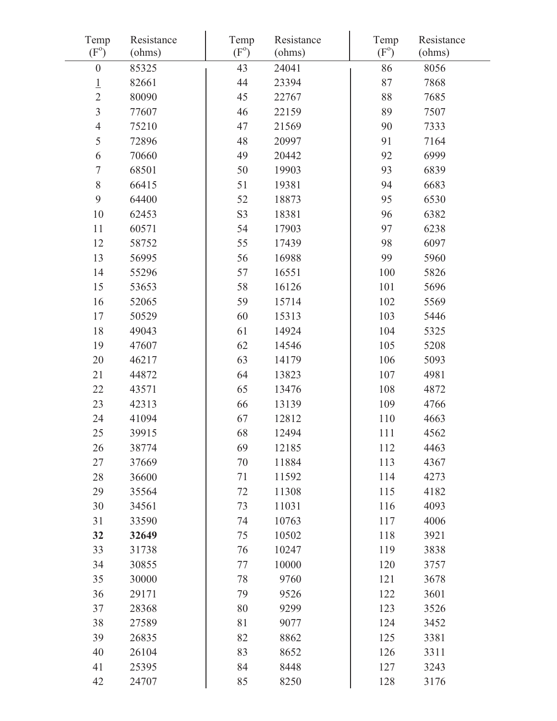| Temp<br>$(F^{\circ})$ | Resistance<br>(ohms) | Temp<br>$(F^{\circ})$ | Resistance<br>(ohms) | Temp<br>$(F^{\circ})$ | Resistance<br>(ohms) |
|-----------------------|----------------------|-----------------------|----------------------|-----------------------|----------------------|
| $\boldsymbol{0}$      | 85325                | 43                    | 24041                | 86                    | 8056                 |
| $\overline{1}$        | 82661                | 44                    | 23394                | 87                    | 7868                 |
| $\overline{2}$        | 80090                | 45                    | 22767                | 88                    | 7685                 |
| $\overline{3}$        | 77607                | 46                    | 22159                | 89                    | 7507                 |
| $\overline{4}$        | 75210                | 47                    | 21569                | 90                    | 7333                 |
| 5                     | 72896                | 48                    | 20997                | 91                    | 7164                 |
| 6                     | 70660                | 49                    | 20442                | 92                    | 6999                 |
| $\boldsymbol{7}$      | 68501                | 50                    | 19903                | 93                    | 6839                 |
| $8\,$                 | 66415                | 51                    | 19381                | 94                    | 6683                 |
| 9                     | 64400                | 52                    | 18873                | 95                    | 6530                 |
| 10                    | 62453                | S <sub>3</sub>        | 18381                | 96                    | 6382                 |
| 11                    | 60571                | 54                    | 17903                | 97                    | 6238                 |
| 12                    | 58752                | 55                    | 17439                | 98                    | 6097                 |
| 13                    | 56995                | 56                    | 16988                | 99                    | 5960                 |
| 14                    | 55296                | 57                    | 16551                | 100                   | 5826                 |
| 15                    | 53653                | 58                    | 16126                | 101                   | 5696                 |
| 16                    | 52065                | 59                    | 15714                | 102                   | 5569                 |
| 17                    | 50529                | 60                    | 15313                | 103                   | 5446                 |
| 18                    | 49043                | 61                    | 14924                | 104                   | 5325                 |
| 19                    | 47607                | 62                    | 14546                | 105                   | 5208                 |
| 20                    | 46217                | 63                    | 14179                | 106                   | 5093                 |
| 21                    | 44872                | 64                    | 13823                | 107                   | 4981                 |
| 22                    | 43571                | 65                    | 13476                | 108                   | 4872                 |
| 23                    | 42313                | 66                    | 13139                | 109                   | 4766                 |
| 24                    | 41094                | 67                    | 12812                | 110                   | 4663                 |
| 25                    | 39915                | 68                    | 12494                | 111                   | 4562                 |
| 26                    | 38774                | 69                    | 12185                | 112                   | 4463                 |
| 27                    | 37669                | 70                    | 11884                | 113                   | 4367                 |
| 28                    | 36600                | 71                    | 11592                | 114                   | 4273                 |
| 29                    | 35564                | 72                    | 11308                | 115                   | 4182                 |
| 30                    | 34561                | 73                    | 11031                | 116                   | 4093                 |
| 31                    | 33590                | 74                    | 10763                | 117                   | 4006                 |
| 32                    | 32649                | 75                    | 10502                | 118                   | 3921                 |
| 33                    | 31738                | 76                    | 10247                | 119                   | 3838                 |
| 34                    | 30855                | 77                    | 10000                | 120                   | 3757                 |
| 35                    | 30000                | 78                    | 9760                 | 121                   | 3678                 |
| 36                    | 29171                | 79                    | 9526                 | 122                   | 3601                 |
| 37                    | 28368                | 80                    | 9299                 | 123                   | 3526                 |
| 38                    | 27589                | 81                    | 9077                 | 124                   | 3452                 |
| 39                    | 26835                | 82                    | 8862                 | 125                   | 3381                 |
| 40                    | 26104                | 83                    | 8652                 | 126                   | 3311                 |
| 41                    | 25395                | 84                    | 8448                 | 127                   | 3243                 |
| 42                    | 24707                | 85                    | 8250                 | 128                   | 3176                 |